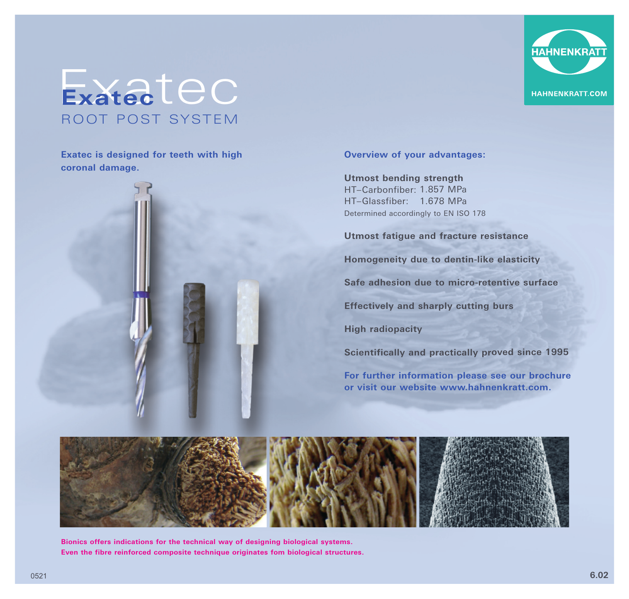

## Exatec<sup>t</sup> **Exatec** ROOT POST SYSTEM

**Exatec is designed for teeth with high coronal damage.** 



## **Overview of your advantages:**

**Utmost bending strength** HT–Carbonfiber: 1.857 MPa HT–Glassfiber: 1.678 MPa Determined accordingly to EN ISO 178

**Utmost fatigue and fracture resistance** 

**Homogeneity due to dentin-like elasticity** 

**Safe adhesion due to micro-retentive surface** 

**Effectively and sharply cutting burs** 

**High radiopacity** 

**Scientifically and practically proved since 1995**

**For further information please see our brochure or visit our website www.hahnenkratt.com.**



**Bionics offers indications for the technical way of designing biological systems. Even the fibre reinforced composite technique originates fom biological structures.**